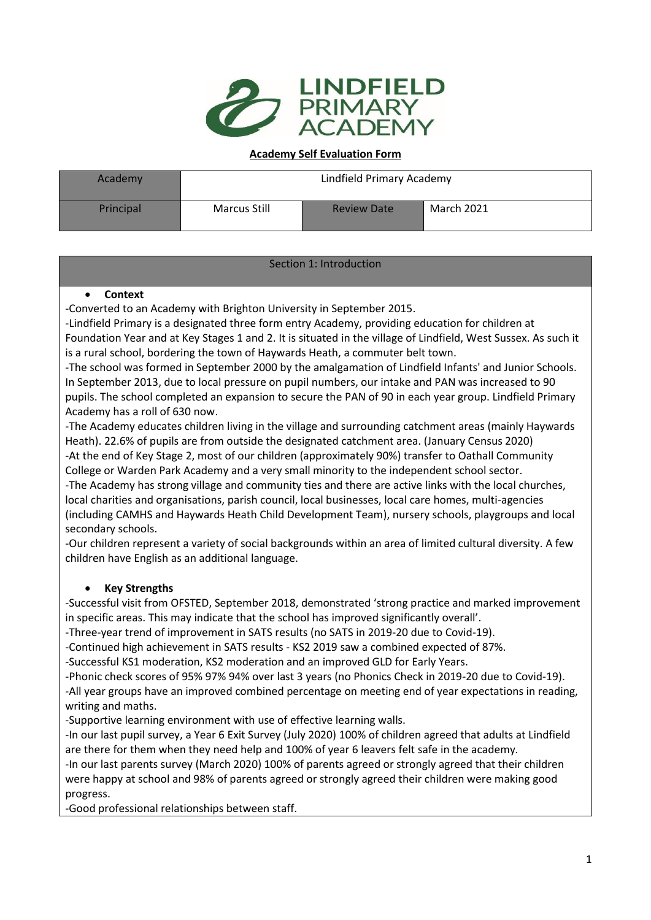

#### **Academy Self Evaluation Form**

| <b>Academy</b> | Lindfield Primary Academy |                    |            |
|----------------|---------------------------|--------------------|------------|
| Principal      | Marcus Still              | <b>Review Date</b> | March 2021 |

# Section 1: Introduction

#### • **Context**

-Converted to an Academy with Brighton University in September 2015.

-Lindfield Primary is a designated three form entry Academy, providing education for children at Foundation Year and at Key Stages 1 and 2. It is situated in the village of Lindfield, West Sussex. As such it is a rural school, bordering the town of Haywards Heath, a commuter belt town.

-The school was formed in September 2000 by the amalgamation of Lindfield Infants' and Junior Schools. In September 2013, due to local pressure on pupil numbers, our intake and PAN was increased to 90 pupils. The school completed an expansion to secure the PAN of 90 in each year group. Lindfield Primary Academy has a roll of 630 now.

-The Academy educates children living in the village and surrounding catchment areas (mainly Haywards Heath). 22.6% of pupils are from outside the designated catchment area. (January Census 2020) -At the end of Key Stage 2, most of our children (approximately 90%) transfer to Oathall Community College or Warden Park Academy and a very small minority to the independent school sector.

-The Academy has strong village and community ties and there are active links with the local churches, local charities and organisations, parish council, local businesses, local care homes, multi-agencies (including CAMHS and Haywards Heath Child Development Team), nursery schools, playgroups and local secondary schools.

-Our children represent a variety of social backgrounds within an area of limited cultural diversity. A few children have English as an additional language.

# • **Key Strengths**

-Successful visit from OFSTED, September 2018, demonstrated 'strong practice and marked improvement in specific areas. This may indicate that the school has improved significantly overall'.

-Three-year trend of improvement in SATS results (no SATS in 2019-20 due to Covid-19).

-Continued high achievement in SATS results - KS2 2019 saw a combined expected of 87%.

-Successful KS1 moderation, KS2 moderation and an improved GLD for Early Years.

-Phonic check scores of 95% 97% 94% over last 3 years (no Phonics Check in 2019-20 due to Covid-19). -All year groups have an improved combined percentage on meeting end of year expectations in reading, writing and maths.

-Supportive learning environment with use of effective learning walls.

-In our last pupil survey, a Year 6 Exit Survey (July 2020) 100% of children agreed that adults at Lindfield are there for them when they need help and 100% of year 6 leavers felt safe in the academy*.*

-In our last parents survey (March 2020) 100% of parents agreed or strongly agreed that their children were happy at school and 98% of parents agreed or strongly agreed their children were making good progress.

-Good professional relationships between staff.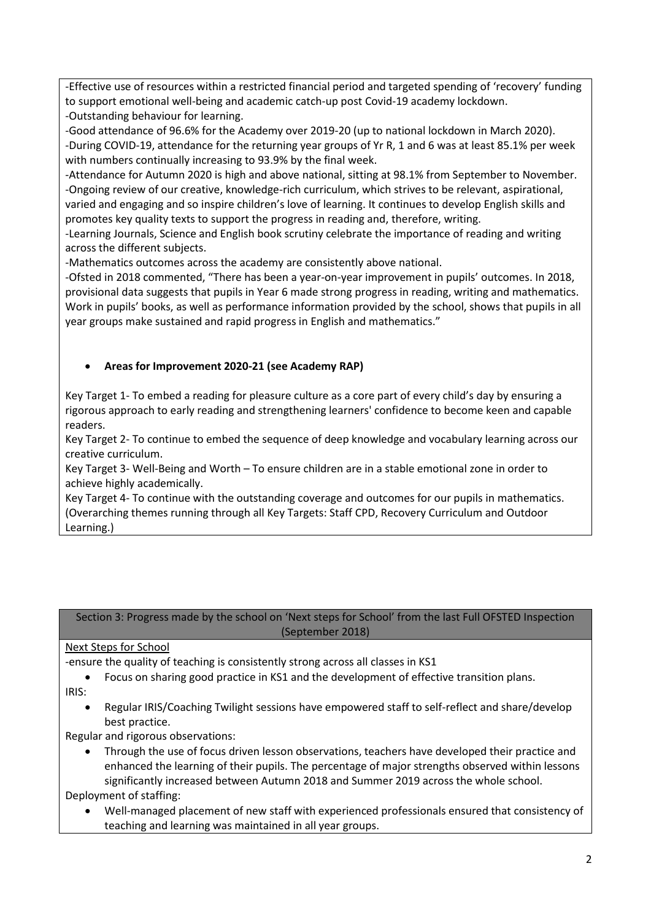-Effective use of resources within a restricted financial period and targeted spending of 'recovery' funding to support emotional well-being and academic catch-up post Covid-19 academy lockdown. -Outstanding behaviour for learning.

-Good attendance of 96.6% for the Academy over 2019-20 (up to national lockdown in March 2020). -During COVID-19, attendance for the returning year groups of Yr R, 1 and 6 was at least 85.1% per week with numbers continually increasing to 93.9% by the final week.

-Attendance for Autumn 2020 is high and above national, sitting at 98.1% from September to November. -Ongoing review of our creative, knowledge-rich curriculum, which strives to be relevant, aspirational, varied and engaging and so inspire children's love of learning. It continues to develop English skills and promotes key quality texts to support the progress in reading and, therefore, writing.

-Learning Journals, Science and English book scrutiny celebrate the importance of reading and writing across the different subjects.

-Mathematics outcomes across the academy are consistently above national.

-Ofsted in 2018 commented, "There has been a year-on-year improvement in pupils' outcomes. In 2018, provisional data suggests that pupils in Year 6 made strong progress in reading, writing and mathematics. Work in pupils' books, as well as performance information provided by the school, shows that pupils in all year groups make sustained and rapid progress in English and mathematics."

# • **Areas for Improvement 2020-21 (see Academy RAP)**

Key Target 1- To embed a reading for pleasure culture as a core part of every child's day by ensuring a rigorous approach to early reading and strengthening learners' confidence to become keen and capable readers.

Key Target 2- To continue to embed the sequence of deep knowledge and vocabulary learning across our creative curriculum.

Key Target 3- Well-Being and Worth – To ensure children are in a stable emotional zone in order to achieve highly academically.

Key Target 4- To continue with the outstanding coverage and outcomes for our pupils in mathematics. (Overarching themes running through all Key Targets: Staff CPD, Recovery Curriculum and Outdoor Learning.)

Section 3: Progress made by the school on 'Next steps for School' from the last Full OFSTED Inspection (September 2018)

# Next Steps for School

-ensure the quality of teaching is consistently strong across all classes in KS1

- Focus on sharing good practice in KS1 and the development of effective transition plans.
- IRIS:
	- Regular IRIS/Coaching Twilight sessions have empowered staff to self-reflect and share/develop best practice.

Regular and rigorous observations:

• Through the use of focus driven lesson observations, teachers have developed their practice and enhanced the learning of their pupils. The percentage of major strengths observed within lessons significantly increased between Autumn 2018 and Summer 2019 across the whole school.

Deployment of staffing:

• Well-managed placement of new staff with experienced professionals ensured that consistency of teaching and learning was maintained in all year groups.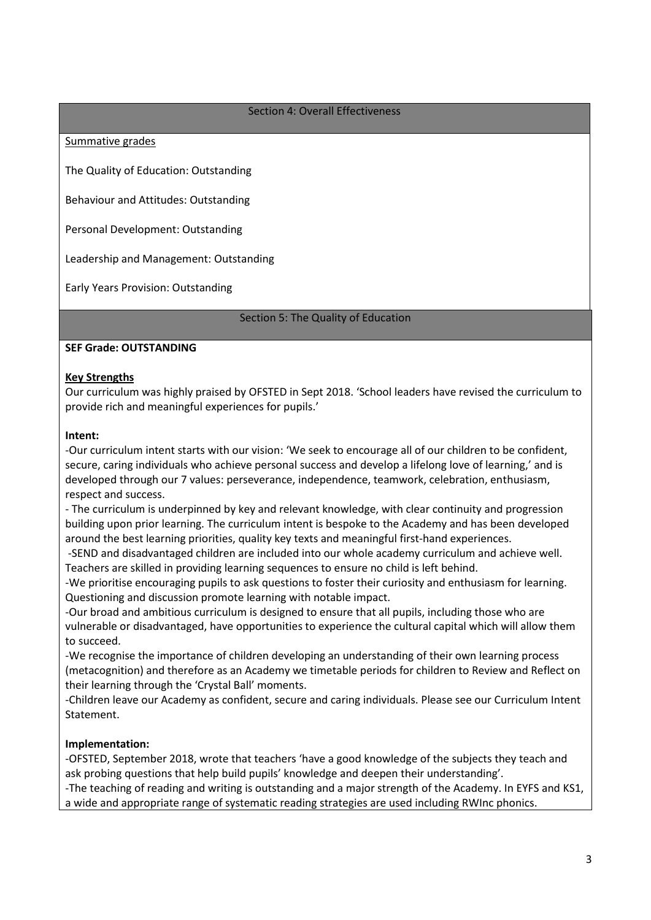#### Section 4: Overall Effectiveness

Summative grades

The Quality of Education: Outstanding

Behaviour and Attitudes: Outstanding

Personal Development: Outstanding

Leadership and Management: Outstanding

Early Years Provision: Outstanding

Section 5: The Quality of Education

#### **SEF Grade: OUTSTANDING**

#### **Key Strengths**

Our curriculum was highly praised by OFSTED in Sept 2018. 'School leaders have revised the curriculum to provide rich and meaningful experiences for pupils.'

#### **Intent:**

-Our curriculum intent starts with our vision: 'We seek to encourage all of our children to be confident, secure, caring individuals who achieve personal success and develop a lifelong love of learning,' and is developed through our 7 values: perseverance, independence, teamwork, celebration, enthusiasm, respect and success.

- The curriculum is underpinned by key and relevant knowledge, with clear continuity and progression building upon prior learning. The curriculum intent is bespoke to the Academy and has been developed around the best learning priorities, quality key texts and meaningful first-hand experiences.

-SEND and disadvantaged children are included into our whole academy curriculum and achieve well. Teachers are skilled in providing learning sequences to ensure no child is left behind.

-We prioritise encouraging pupils to ask questions to foster their curiosity and enthusiasm for learning. Questioning and discussion promote learning with notable impact.

-Our broad and ambitious curriculum is designed to ensure that all pupils, including those who are vulnerable or disadvantaged, have opportunities to experience the cultural capital which will allow them to succeed.

-We recognise the importance of children developing an understanding of their own learning process (metacognition) and therefore as an Academy we timetable periods for children to Review and Reflect on their learning through the 'Crystal Ball' moments.

-Children leave our Academy as confident, secure and caring individuals. Please see our Curriculum Intent Statement.

# **Implementation:**

-OFSTED, September 2018, wrote that teachers 'have a good knowledge of the subjects they teach and ask probing questions that help build pupils' knowledge and deepen their understanding'.

-The teaching of reading and writing is outstanding and a major strength of the Academy. In EYFS and KS1, a wide and appropriate range of systematic reading strategies are used including RWInc phonics.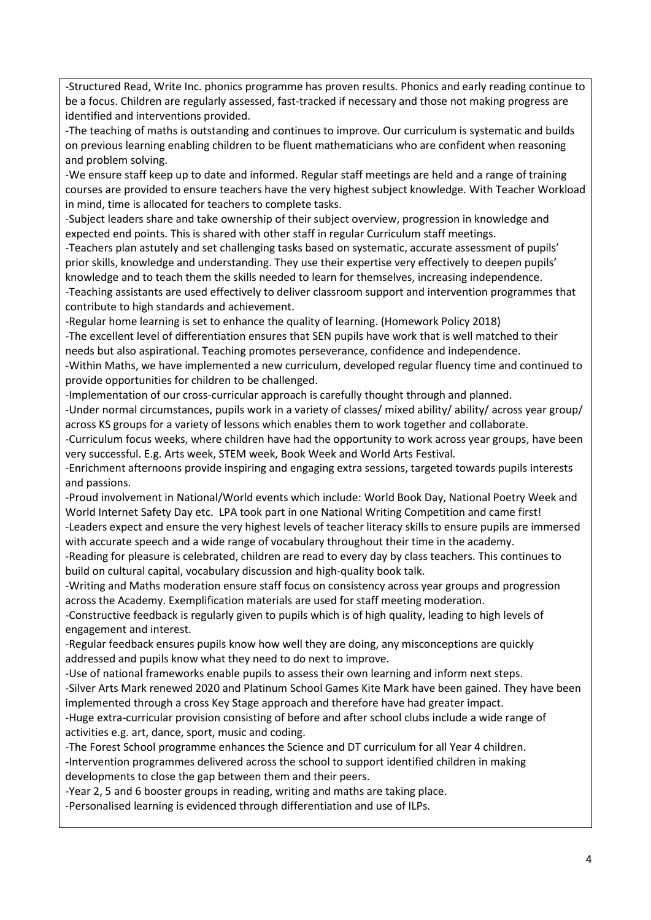-Structured Read, Write Inc. phonics programme has proven results. Phonics and early reading continue to be a focus. Children are regularly assessed, fast-tracked if necessary and those not making progress are identified and interventions provided.

-The teaching of maths is outstanding and continues to improve. Our curriculum is systematic and builds on previous learning enabling children to be fluent mathematicians who are confident when reasoning and problem solving.

-We ensure staff keep up to date and informed. Regular staff meetings are held and a range of training courses are provided to ensure teachers have the very highest subject knowledge. With Teacher Workload in mind, time is allocated for teachers to complete tasks.

-Subject leaders share and take ownership of their subject overview, progression in knowledge and expected end points. This is shared with other staff in regular Curriculum staff meetings.

-Teachers plan astutely and set challenging tasks based on systematic, accurate assessment of pupils' prior skills, knowledge and understanding. They use their expertise very effectively to deepen pupils' knowledge and to teach them the skills needed to learn for themselves, increasing independence. -Teaching assistants are used effectively to deliver classroom support and intervention programmes that contribute to high standards and achievement.

-Regular home learning is set to enhance the quality of learning. (Homework Policy 2018)

-The excellent level of differentiation ensures that SEN pupils have work that is well matched to their needs but also aspirational. Teaching promotes perseverance, confidence and independence.

-Within Maths, we have implemented a new curriculum, developed regular fluency time and continued to provide opportunities for children to be challenged.

-Implementation of our cross-curricular approach is carefully thought through and planned.

-Under normal circumstances, pupils work in a variety of classes/ mixed ability/ ability/ across year group/ across KS groups for a variety of lessons which enables them to work together and collaborate.

-Curriculum focus weeks, where children have had the opportunity to work across year groups, have been very successful. E.g. Arts week, STEM week, Book Week and World Arts Festival*.*

-Enrichment afternoons provide inspiring and engaging extra sessions, targeted towards pupils interests and passions.

-Proud involvement in National/World events which include: World Book Day, National Poetry Week and World Internet Safety Day etc. LPA took part in one National Writing Competition and came first!

-Leaders expect and ensure the very highest levels of teacher literacy skills to ensure pupils are immersed with accurate speech and a wide range of vocabulary throughout their time in the academy.

-Reading for pleasure is celebrated, children are read to every day by class teachers. This continues to build on cultural capital, vocabulary discussion and high-quality book talk.

-Writing and Maths moderation ensure staff focus on consistency across year groups and progression across the Academy. Exemplification materials are used for staff meeting moderation.

-Constructive feedback is regularly given to pupils which is of high quality, leading to high levels of engagement and interest.

-Regular feedback ensures pupils know how well they are doing, any misconceptions are quickly addressed and pupils know what they need to do next to improve.

-Use of national frameworks enable pupils to assess their own learning and inform next steps. -Silver Arts Mark renewed 2020 and Platinum School Games Kite Mark have been gained. They have been implemented through a cross Key Stage approach and therefore have had greater impact.

-Huge extra-curricular provision consisting of before and after school clubs include a wide range of activities e.g. art, dance, sport, music and coding.

-The Forest School programme enhances the Science and DT curriculum for all Year 4 children. **-**Intervention programmes delivered across the school to support identified children in making developments to close the gap between them and their peers.

-Year 2, 5 and 6 booster groups in reading, writing and maths are taking place.

-Personalised learning is evidenced through differentiation and use of ILPs.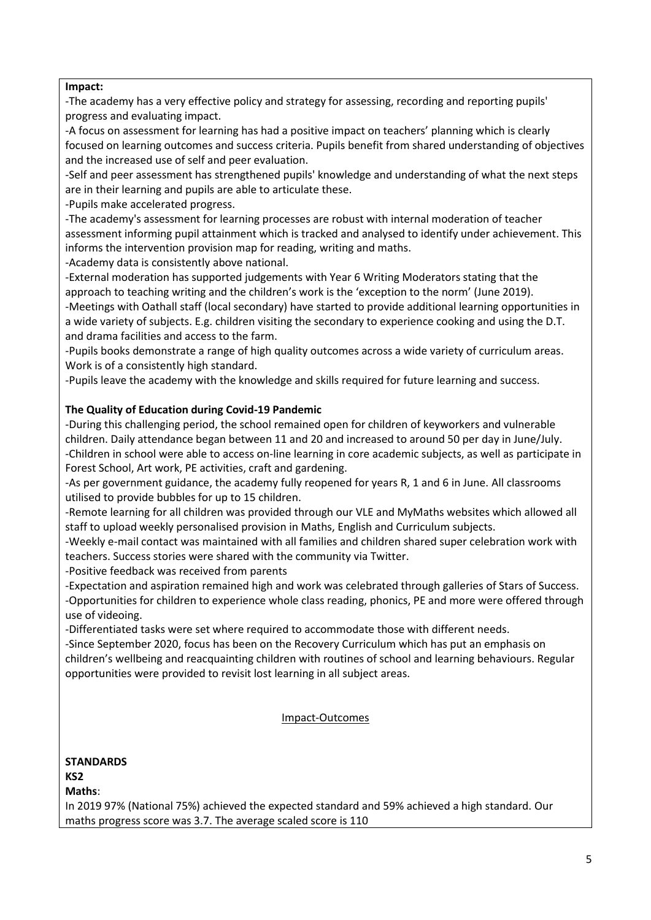#### **Impact:**

-The academy has a very effective policy and strategy for assessing, recording and reporting pupils' progress and evaluating impact.

-A focus on assessment for learning has had a positive impact on teachers' planning which is clearly focused on learning outcomes and success criteria. Pupils benefit from shared understanding of objectives and the increased use of self and peer evaluation.

-Self and peer assessment has strengthened pupils' knowledge and understanding of what the next steps are in their learning and pupils are able to articulate these.

-Pupils make accelerated progress.

-The academy's assessment for learning processes are robust with internal moderation of teacher assessment informing pupil attainment which is tracked and analysed to identify under achievement. This informs the intervention provision map for reading, writing and maths.

-Academy data is consistently above national.

-External moderation has supported judgements with Year 6 Writing Moderators stating that the approach to teaching writing and the children's work is the 'exception to the norm' (June 2019). -Meetings with Oathall staff (local secondary) have started to provide additional learning opportunities in

a wide variety of subjects. E.g. children visiting the secondary to experience cooking and using the D.T. and drama facilities and access to the farm.

-Pupils books demonstrate a range of high quality outcomes across a wide variety of curriculum areas. Work is of a consistently high standard.

-Pupils leave the academy with the knowledge and skills required for future learning and success.

# **The Quality of Education during Covid-19 Pandemic**

-During this challenging period, the school remained open for children of keyworkers and vulnerable children. Daily attendance began between 11 and 20 and increased to around 50 per day in June/July. -Children in school were able to access on-line learning in core academic subjects, as well as participate in Forest School, Art work, PE activities, craft and gardening.

-As per government guidance, the academy fully reopened for years R, 1 and 6 in June. All classrooms utilised to provide bubbles for up to 15 children.

-Remote learning for all children was provided through our VLE and MyMaths websites which allowed all staff to upload weekly personalised provision in Maths, English and Curriculum subjects.

-Weekly e-mail contact was maintained with all families and children shared super celebration work with teachers. Success stories were shared with the community via Twitter.

-Positive feedback was received from parents

-Expectation and aspiration remained high and work was celebrated through galleries of Stars of Success. -Opportunities for children to experience whole class reading, phonics, PE and more were offered through use of videoing.

-Differentiated tasks were set where required to accommodate those with different needs.

-Since September 2020, focus has been on the Recovery Curriculum which has put an emphasis on children's wellbeing and reacquainting children with routines of school and learning behaviours. Regular opportunities were provided to revisit lost learning in all subject areas.

# Impact-Outcomes

**STANDARDS KS2 Maths**: In 2019 97% (National 75%) achieved the expected standard and 59% achieved a high standard. Our maths progress score was 3.7. The average scaled score is 110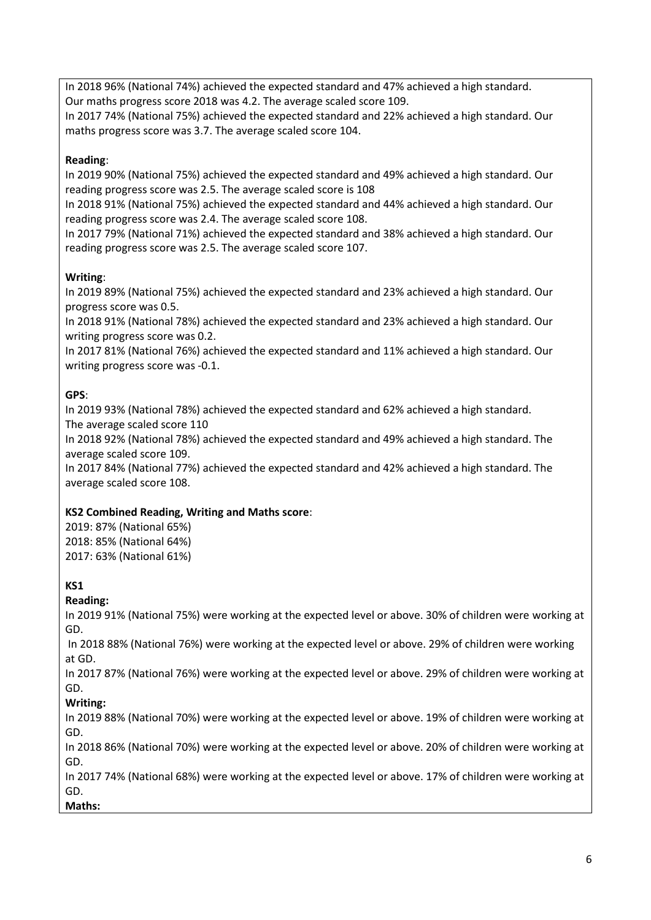In 2018 96% (National 74%) achieved the expected standard and 47% achieved a high standard. Our maths progress score 2018 was 4.2. The average scaled score 109.

In 2017 74% (National 75%) achieved the expected standard and 22% achieved a high standard. Our maths progress score was 3.7. The average scaled score 104.

# **Reading**:

In 2019 90% (National 75%) achieved the expected standard and 49% achieved a high standard. Our reading progress score was 2.5. The average scaled score is 108

In 2018 91% (National 75%) achieved the expected standard and 44% achieved a high standard. Our reading progress score was 2.4. The average scaled score 108.

In 2017 79% (National 71%) achieved the expected standard and 38% achieved a high standard. Our reading progress score was 2.5. The average scaled score 107.

# **Writing**:

In 2019 89% (National 75%) achieved the expected standard and 23% achieved a high standard. Our progress score was 0.5.

In 2018 91% (National 78%) achieved the expected standard and 23% achieved a high standard. Our writing progress score was 0.2.

In 2017 81% (National 76%) achieved the expected standard and 11% achieved a high standard. Our writing progress score was -0.1.

# **GPS**:

In 2019 93% (National 78%) achieved the expected standard and 62% achieved a high standard. The average scaled score 110

In 2018 92% (National 78%) achieved the expected standard and 49% achieved a high standard. The average scaled score 109.

In 2017 84% (National 77%) achieved the expected standard and 42% achieved a high standard. The average scaled score 108.

# **KS2 Combined Reading, Writing and Maths score**:

2019: 87% (National 65%) 2018: 85% (National 64%) 2017: 63% (National 61%)

# **KS1**

# **Reading:**

In 2019 91% (National 75%) were working at the expected level or above. 30% of children were working at GD.

In 2018 88% (National 76%) were working at the expected level or above. 29% of children were working at GD.

In 2017 87% (National 76%) were working at the expected level or above. 29% of children were working at GD.

# **Writing:**

In 2019 88% (National 70%) were working at the expected level or above. 19% of children were working at GD.

In 2018 86% (National 70%) were working at the expected level or above. 20% of children were working at GD.

In 2017 74% (National 68%) were working at the expected level or above. 17% of children were working at GD. **Maths:**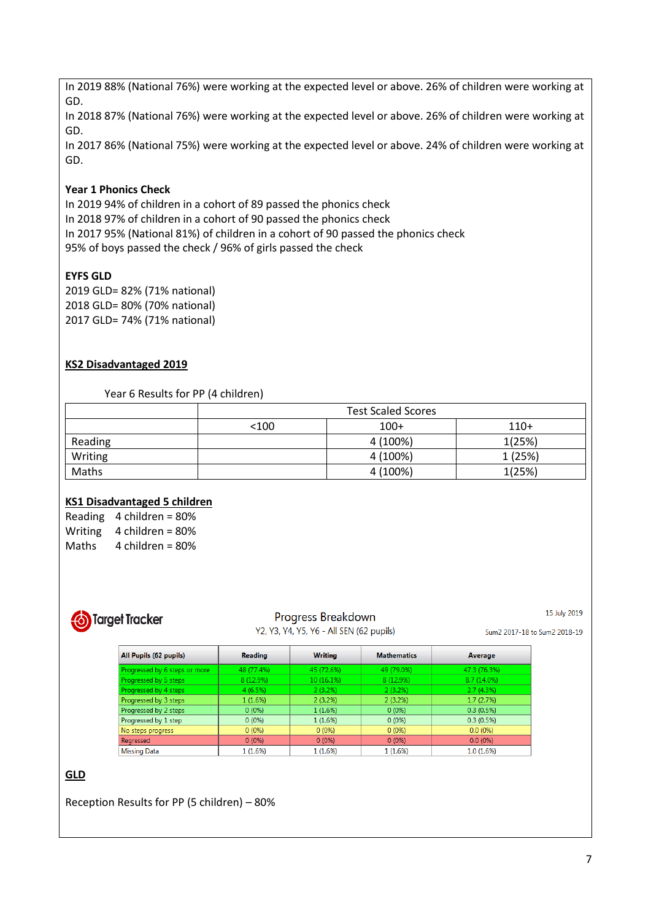In 2019 88% (National 76%) were working at the expected level or above. 26% of children were working at GD.

In 2018 87% (National 76%) were working at the expected level or above. 26% of children were working at GD.

In 2017 86% (National 75%) were working at the expected level or above. 24% of children were working at GD.

# **Year 1 Phonics Check**

In 2019 94% of children in a cohort of 89 passed the phonics check In 2018 97% of children in a cohort of 90 passed the phonics check In 2017 95% (National 81%) of children in a cohort of 90 passed the phonics check 95% of boys passed the check / 96% of girls passed the check

# **EYFS GLD**

2019 GLD= 82% (71% national) 2018 GLD= 80% (70% national) 2017 GLD= 74% (71% national)

# **KS2 Disadvantaged 2019**

Year 6 Results for PP (4 children)

|         | <b>Test Scaled Scores</b> |          |         |
|---------|---------------------------|----------|---------|
|         | < 100                     | $100+$   | $110+$  |
| Reading |                           | 4 (100%) | 1(25%)  |
| Writing |                           | 4 (100%) | 1 (25%) |
| Maths   |                           | 4 (100%) | 1(25%)  |

# **KS1 Disadvantaged 5 children**

Reading 4 children = 80% Writing 4 children = 80% Maths 4 children = 80%



# Progress Breakdown

Y2, Y3, Y4, Y5, Y6 - All SEN (62 pupils)

15 July 2019

Sum2 2017-18 to Sum2 2018-19

| All Pupils (62 pupils)        | <b>Reading</b> | <b>Writing</b> | <b>Mathematics</b> | Average       |
|-------------------------------|----------------|----------------|--------------------|---------------|
| Progressed by 6 steps or more | 48 (77.4%)     | 45 (72.6%)     | 49 (79.0%)         | 47.3 (76.3%)  |
| Progressed by 5 steps         | 8 (12.9%)      | 10 (16.1%)     | 8 (12.9%)          | $8.7(14.0\%)$ |
| Progressed by 4 steps         | 4(6.5%)        | $2(3.2\%)$     | 2(3.2%)            | $2.7(4.3\%)$  |
| Progressed by 3 steps         | 1(1.6%)        | 2(3.2%)        | 2(3.2%)            | 1.7(2.7%)     |
| Progressed by 2 steps         | $0(0\%)$       | 1(1.6%)        | $0(0\%)$           | 0.3(0.5%)     |
| Progressed by 1 step          | $0(0\%)$       | 1(1.6%)        | $0(0\%)$           | 0.3(0.5%)     |
| No steps progress             | $0(0\%)$       | $0(0\%)$       | $0(0\%)$           | $0.0(0\%)$    |
| Regressed                     | $0(0\%)$       | $0(0\%)$       | $0(0\%)$           | $0.0(0\%)$    |
| <b>Missing Data</b>           | 1(1.6%)        | 1(1.6%)        | 1(1.6%)            | 1.0(1.6%)     |

# **GLD**

Reception Results for PP (5 children) – 80%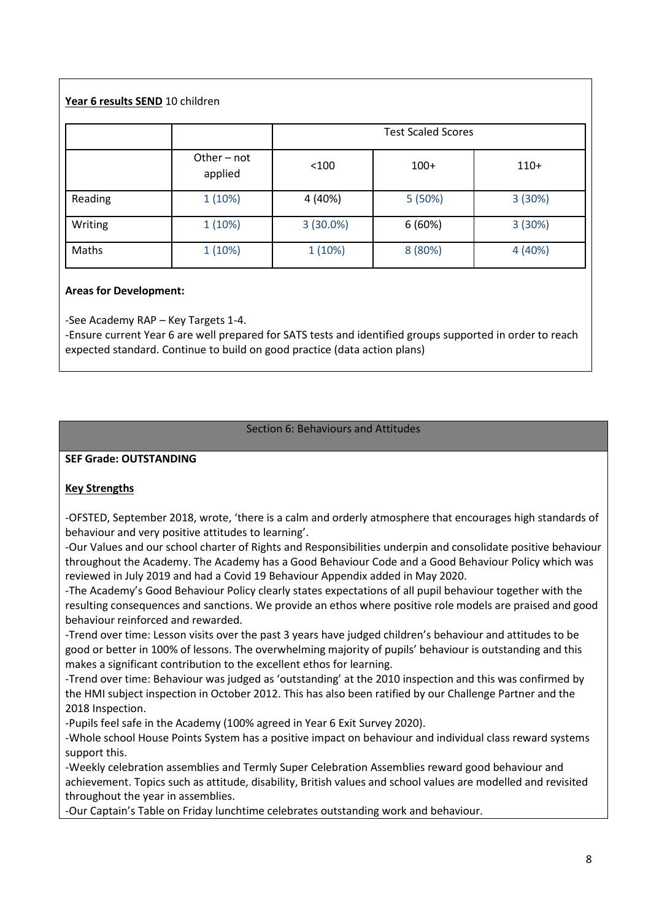# **Year 6 results SEND** 10 children

|         | <b>Test Scaled Scores</b> |             |         |         |
|---------|---------------------------|-------------|---------|---------|
|         | Other - not<br>applied    | < 100       | $100+$  | $110+$  |
| Reading | 1(10%)                    | 4 (40%)     | 5 (50%) | 3(30%)  |
| Writing | 1(10%)                    | $3(30.0\%)$ | 6(60%)  | 3(30%)  |
| Maths   | 1(10%)                    | 1(10%)      | 8 (80%) | 4 (40%) |

# **Areas for Development:**

-See Academy RAP – Key Targets 1-4.

-Ensure current Year 6 are well prepared for SATS tests and identified groups supported in order to reach expected standard. Continue to build on good practice (data action plans)

#### Section 6: Behaviours and Attitudes

#### **SEF Grade: OUTSTANDING**

# **Key Strengths**

-OFSTED, September 2018, wrote, 'there is a calm and orderly atmosphere that encourages high standards of behaviour and very positive attitudes to learning'.

-Our Values and our school charter of Rights and Responsibilities underpin and consolidate positive behaviour throughout the Academy. The Academy has a Good Behaviour Code and a Good Behaviour Policy which was reviewed in July 2019 and had a Covid 19 Behaviour Appendix added in May 2020.

-The Academy's Good Behaviour Policy clearly states expectations of all pupil behaviour together with the resulting consequences and sanctions. We provide an ethos where positive role models are praised and good behaviour reinforced and rewarded.

-Trend over time: Lesson visits over the past 3 years have judged children's behaviour and attitudes to be good or better in 100% of lessons. The overwhelming majority of pupils' behaviour is outstanding and this makes a significant contribution to the excellent ethos for learning.

-Trend over time: Behaviour was judged as 'outstanding' at the 2010 inspection and this was confirmed by the HMI subject inspection in October 2012. This has also been ratified by our Challenge Partner and the 2018 Inspection.

-Pupils feel safe in the Academy (100% agreed in Year 6 Exit Survey 2020).

-Whole school House Points System has a positive impact on behaviour and individual class reward systems support this.

-Weekly celebration assemblies and Termly Super Celebration Assemblies reward good behaviour and achievement. Topics such as attitude, disability, British values and school values are modelled and revisited throughout the year in assemblies.

-Our Captain's Table on Friday lunchtime celebrates outstanding work and behaviour.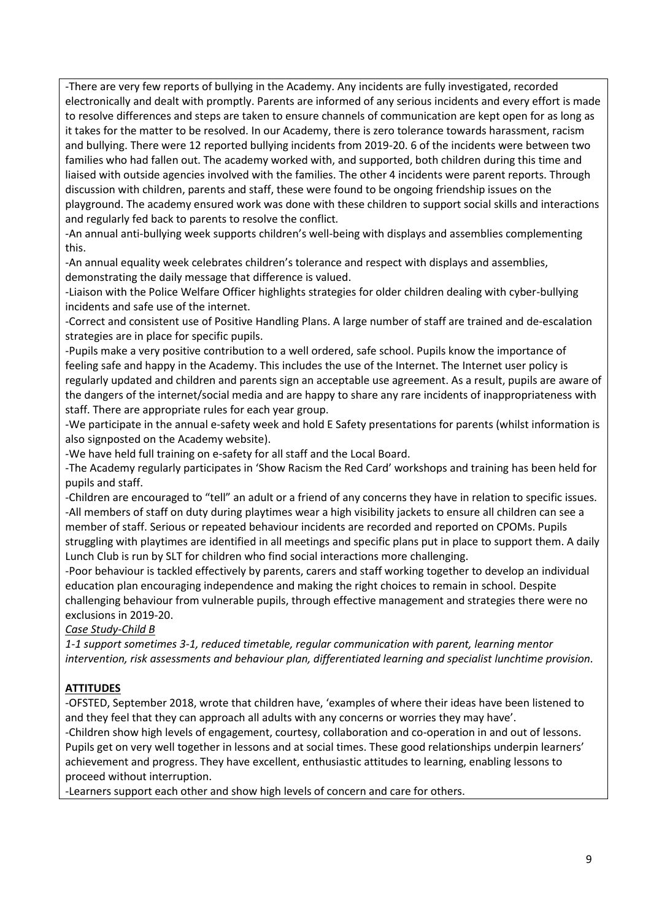-There are very few reports of bullying in the Academy. Any incidents are fully investigated, recorded electronically and dealt with promptly. Parents are informed of any serious incidents and every effort is made to resolve differences and steps are taken to ensure channels of communication are kept open for as long as it takes for the matter to be resolved. In our Academy, there is zero tolerance towards harassment, racism and bullying. There were 12 reported bullying incidents from 2019-20. 6 of the incidents were between two families who had fallen out. The academy worked with, and supported, both children during this time and liaised with outside agencies involved with the families. The other 4 incidents were parent reports. Through discussion with children, parents and staff, these were found to be ongoing friendship issues on the playground. The academy ensured work was done with these children to support social skills and interactions and regularly fed back to parents to resolve the conflict*.*

-An annual anti-bullying week supports children's well-being with displays and assemblies complementing this.

-An annual equality week celebrates children's tolerance and respect with displays and assemblies, demonstrating the daily message that difference is valued.

-Liaison with the Police Welfare Officer highlights strategies for older children dealing with cyber-bullying incidents and safe use of the internet.

-Correct and consistent use of Positive Handling Plans. A large number of staff are trained and de-escalation strategies are in place for specific pupils.

-Pupils make a very positive contribution to a well ordered, safe school. Pupils know the importance of feeling safe and happy in the Academy. This includes the use of the Internet. The Internet user policy is regularly updated and children and parents sign an acceptable use agreement. As a result, pupils are aware of the dangers of the internet/social media and are happy to share any rare incidents of inappropriateness with staff. There are appropriate rules for each year group.

-We participate in the annual e-safety week and hold E Safety presentations for parents (whilst information is also signposted on the Academy website).

-We have held full training on e-safety for all staff and the Local Board.

-The Academy regularly participates in 'Show Racism the Red Card' workshops and training has been held for pupils and staff.

-Children are encouraged to "tell" an adult or a friend of any concerns they have in relation to specific issues. -All members of staff on duty during playtimes wear a high visibility jackets to ensure all children can see a member of staff. Serious or repeated behaviour incidents are recorded and reported on CPOMs. Pupils struggling with playtimes are identified in all meetings and specific plans put in place to support them. A daily Lunch Club is run by SLT for children who find social interactions more challenging.

-Poor behaviour is tackled effectively by parents, carers and staff working together to develop an individual education plan encouraging independence and making the right choices to remain in school. Despite challenging behaviour from vulnerable pupils, through effective management and strategies there were no exclusions in 2019-20.

# *Case Study-Child B*

*1-1 support sometimes 3-1, reduced timetable, regular communication with parent, learning mentor intervention, risk assessments and behaviour plan, differentiated learning and specialist lunchtime provision.*

# **ATTITUDES**

-OFSTED, September 2018, wrote that children have, 'examples of where their ideas have been listened to and they feel that they can approach all adults with any concerns or worries they may have'.

-Children show high levels of engagement, courtesy, collaboration and co-operation in and out of lessons. Pupils get on very well together in lessons and at social times. These good relationships underpin learners' achievement and progress. They have excellent, enthusiastic attitudes to learning, enabling lessons to proceed without interruption.

-Learners support each other and show high levels of concern and care for others.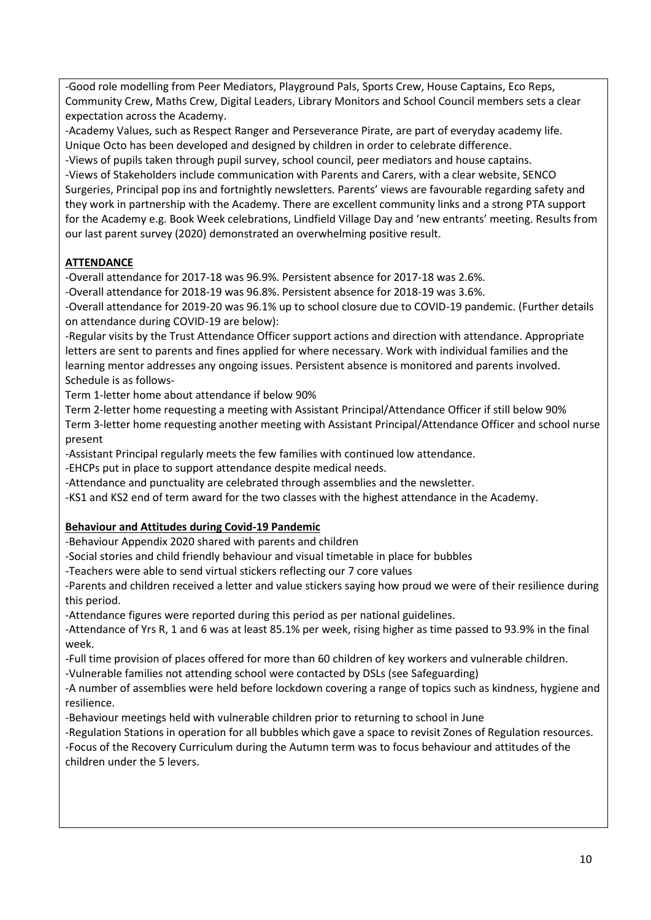-Good role modelling from Peer Mediators, Playground Pals, Sports Crew, House Captains, Eco Reps, Community Crew, Maths Crew, Digital Leaders, Library Monitors and School Council members sets a clear expectation across the Academy.

-Academy Values, such as Respect Ranger and Perseverance Pirate, are part of everyday academy life. Unique Octo has been developed and designed by children in order to celebrate difference.

-Views of pupils taken through pupil survey, school council, peer mediators and house captains. -Views of Stakeholders include communication with Parents and Carers, with a clear website, SENCO Surgeries, Principal pop ins and fortnightly newsletters. Parents' views are favourable regarding safety and they work in partnership with the Academy. There are excellent community links and a strong PTA support for the Academy e.g. Book Week celebrations, Lindfield Village Day and 'new entrants' meeting. Results from our last parent survey (2020) demonstrated an overwhelming positive result.

# **ATTENDANCE**

-Overall attendance for 2017-18 was 96.9%. Persistent absence for 2017-18 was 2.6%.

-Overall attendance for 2018-19 was 96.8%. Persistent absence for 2018-19 was 3.6%.

-Overall attendance for 2019-20 was 96.1% up to school closure due to COVID-19 pandemic. (Further details on attendance during COVID-19 are below):

-Regular visits by the Trust Attendance Officer support actions and direction with attendance. Appropriate letters are sent to parents and fines applied for where necessary. Work with individual families and the learning mentor addresses any ongoing issues. Persistent absence is monitored and parents involved. Schedule is as follows-

Term 1-letter home about attendance if below 90%

Term 2-letter home requesting a meeting with Assistant Principal/Attendance Officer if still below 90% Term 3-letter home requesting another meeting with Assistant Principal/Attendance Officer and school nurse

present -Assistant Principal regularly meets the few families with continued low attendance.

-EHCPs put in place to support attendance despite medical needs.

-Attendance and punctuality are celebrated through assemblies and the newsletter.

-KS1 and KS2 end of term award for the two classes with the highest attendance in the Academy.

# **Behaviour and Attitudes during Covid-19 Pandemic**

-Behaviour Appendix 2020 shared with parents and children

-Social stories and child friendly behaviour and visual timetable in place for bubbles

-Teachers were able to send virtual stickers reflecting our 7 core values

-Parents and children received a letter and value stickers saying how proud we were of their resilience during this period.

-Attendance figures were reported during this period as per national guidelines.

-Attendance of Yrs R, 1 and 6 was at least 85.1% per week, rising higher as time passed to 93.9% in the final week.

-Full time provision of places offered for more than 60 children of key workers and vulnerable children.

-Vulnerable families not attending school were contacted by DSLs (see Safeguarding)

-A number of assemblies were held before lockdown covering a range of topics such as kindness, hygiene and resilience.

-Behaviour meetings held with vulnerable children prior to returning to school in June

-Regulation Stations in operation for all bubbles which gave a space to revisit Zones of Regulation resources. -Focus of the Recovery Curriculum during the Autumn term was to focus behaviour and attitudes of the children under the 5 levers.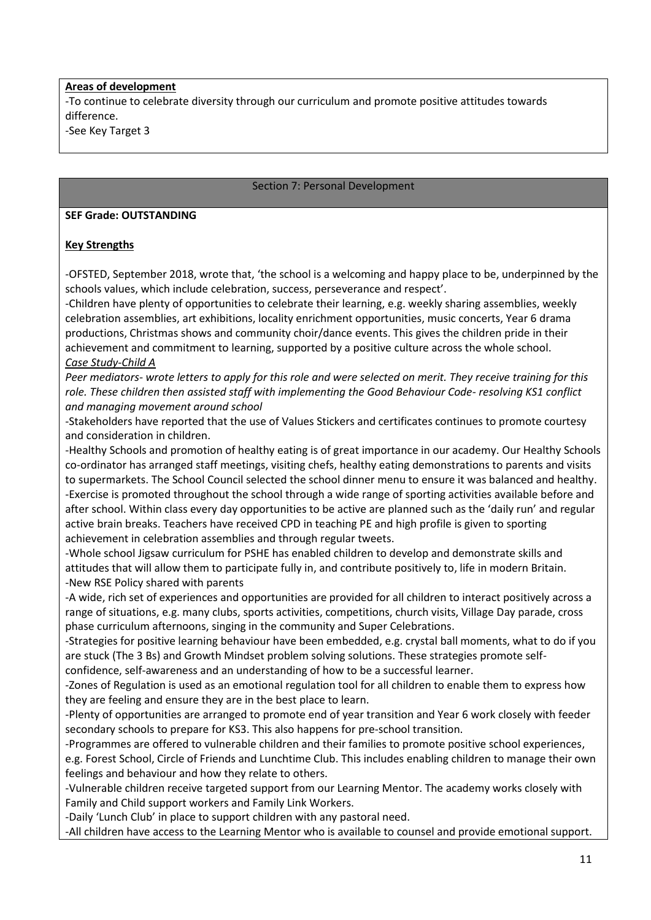#### **Areas of development**

-To continue to celebrate diversity through our curriculum and promote positive attitudes towards difference.

-See Key Target 3

#### Section 7: Personal Development

#### **SEF Grade: OUTSTANDING**

#### **Key Strengths**

-OFSTED, September 2018, wrote that, 'the school is a welcoming and happy place to be, underpinned by the schools values, which include celebration, success, perseverance and respect'.

-Children have plenty of opportunities to celebrate their learning, e.g. weekly sharing assemblies, weekly celebration assemblies, art exhibitions, locality enrichment opportunities, music concerts, Year 6 drama productions, Christmas shows and community choir/dance events. This gives the children pride in their achievement and commitment to learning, supported by a positive culture across the whole school. *Case Study-Child A*

*Peer mediators- wrote letters to apply for this role and were selected on merit. They receive training for this role. These children then assisted staff with implementing the Good Behaviour Code- resolving KS1 conflict and managing movement around school*

-Stakeholders have reported that the use of Values Stickers and certificates continues to promote courtesy and consideration in children.

-Healthy Schools and promotion of healthy eating is of great importance in our academy. Our Healthy Schools co-ordinator has arranged staff meetings, visiting chefs, healthy eating demonstrations to parents and visits to supermarkets. The School Council selected the school dinner menu to ensure it was balanced and healthy. -Exercise is promoted throughout the school through a wide range of sporting activities available before and after school. Within class every day opportunities to be active are planned such as the 'daily run' and regular active brain breaks. Teachers have received CPD in teaching PE and high profile is given to sporting achievement in celebration assemblies and through regular tweets.

-Whole school Jigsaw curriculum for PSHE has enabled children to develop and demonstrate skills and attitudes that will allow them to participate fully in, and contribute positively to, life in modern Britain. -New RSE Policy shared with parents

-A wide, rich set of experiences and opportunities are provided for all children to interact positively across a range of situations, e.g. many clubs, sports activities, competitions, church visits, Village Day parade, cross phase curriculum afternoons, singing in the community and Super Celebrations.

-Strategies for positive learning behaviour have been embedded, e.g. crystal ball moments, what to do if you are stuck (The 3 Bs) and Growth Mindset problem solving solutions. These strategies promote self-

confidence, self-awareness and an understanding of how to be a successful learner.

-Zones of Regulation is used as an emotional regulation tool for all children to enable them to express how they are feeling and ensure they are in the best place to learn.

-Plenty of opportunities are arranged to promote end of year transition and Year 6 work closely with feeder secondary schools to prepare for KS3. This also happens for pre-school transition.

-Programmes are offered to vulnerable children and their families to promote positive school experiences, e.g. Forest School, Circle of Friends and Lunchtime Club. This includes enabling children to manage their own feelings and behaviour and how they relate to others.

-Vulnerable children receive targeted support from our Learning Mentor. The academy works closely with Family and Child support workers and Family Link Workers.

-Daily 'Lunch Club' in place to support children with any pastoral need.

-All children have access to the Learning Mentor who is available to counsel and provide emotional support.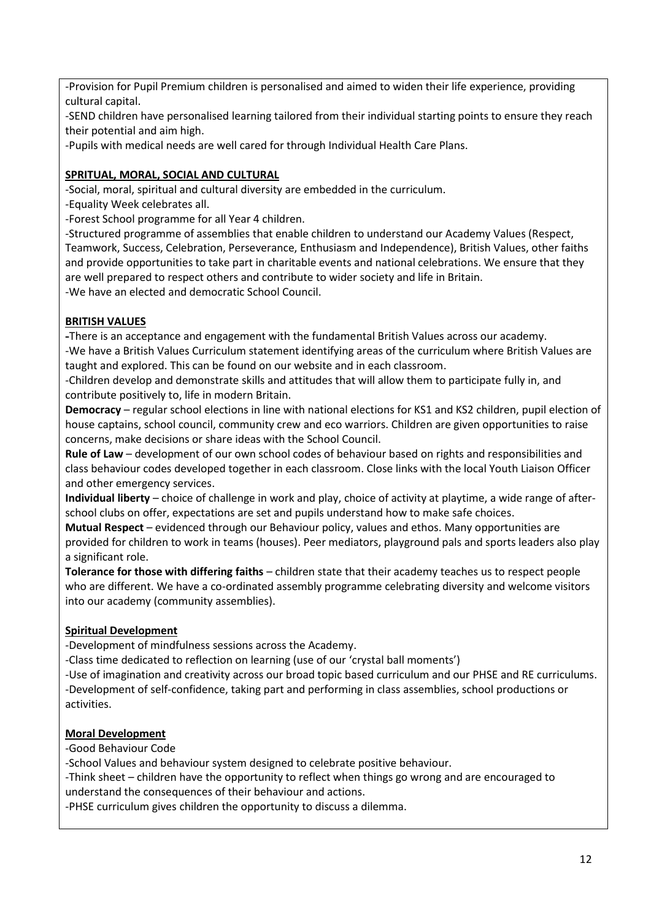-Provision for Pupil Premium children is personalised and aimed to widen their life experience, providing cultural capital.

-SEND children have personalised learning tailored from their individual starting points to ensure they reach their potential and aim high.

-Pupils with medical needs are well cared for through Individual Health Care Plans.

# **SPRITUAL, MORAL, SOCIAL AND CULTURAL**

-Social, moral, spiritual and cultural diversity are embedded in the curriculum.

-Equality Week celebrates all.

-Forest School programme for all Year 4 children.

-Structured programme of assemblies that enable children to understand our Academy Values (Respect, Teamwork, Success, Celebration, Perseverance, Enthusiasm and Independence), British Values, other faiths and provide opportunities to take part in charitable events and national celebrations. We ensure that they are well prepared to respect others and contribute to wider society and life in Britain. -We have an elected and democratic School Council.

# **BRITISH VALUES**

**-**There is an acceptance and engagement with the fundamental British Values across our academy. -We have a British Values Curriculum statement identifying areas of the curriculum where British Values are taught and explored. This can be found on our website and in each classroom.

-Children develop and demonstrate skills and attitudes that will allow them to participate fully in, and contribute positively to, life in modern Britain.

**Democracy** – regular school elections in line with national elections for KS1 and KS2 children, pupil election of house captains, school council, community crew and eco warriors. Children are given opportunities to raise concerns, make decisions or share ideas with the School Council.

**Rule of Law** – development of our own school codes of behaviour based on rights and responsibilities and class behaviour codes developed together in each classroom. Close links with the local Youth Liaison Officer and other emergency services.

**Individual liberty** – choice of challenge in work and play, choice of activity at playtime, a wide range of afterschool clubs on offer, expectations are set and pupils understand how to make safe choices.

**Mutual Respect** – evidenced through our Behaviour policy, values and ethos. Many opportunities are provided for children to work in teams (houses). Peer mediators, playground pals and sports leaders also play a significant role.

**Tolerance for those with differing faiths** – children state that their academy teaches us to respect people who are different. We have a co-ordinated assembly programme celebrating diversity and welcome visitors into our academy (community assemblies).

# **Spiritual Development**

-Development of mindfulness sessions across the Academy.

-Class time dedicated to reflection on learning (use of our 'crystal ball moments')

-Use of imagination and creativity across our broad topic based curriculum and our PHSE and RE curriculums. -Development of self-confidence, taking part and performing in class assemblies, school productions or activities.

# **Moral Development**

-Good Behaviour Code

-School Values and behaviour system designed to celebrate positive behaviour.

-Think sheet – children have the opportunity to reflect when things go wrong and are encouraged to understand the consequences of their behaviour and actions.

-PHSE curriculum gives children the opportunity to discuss a dilemma.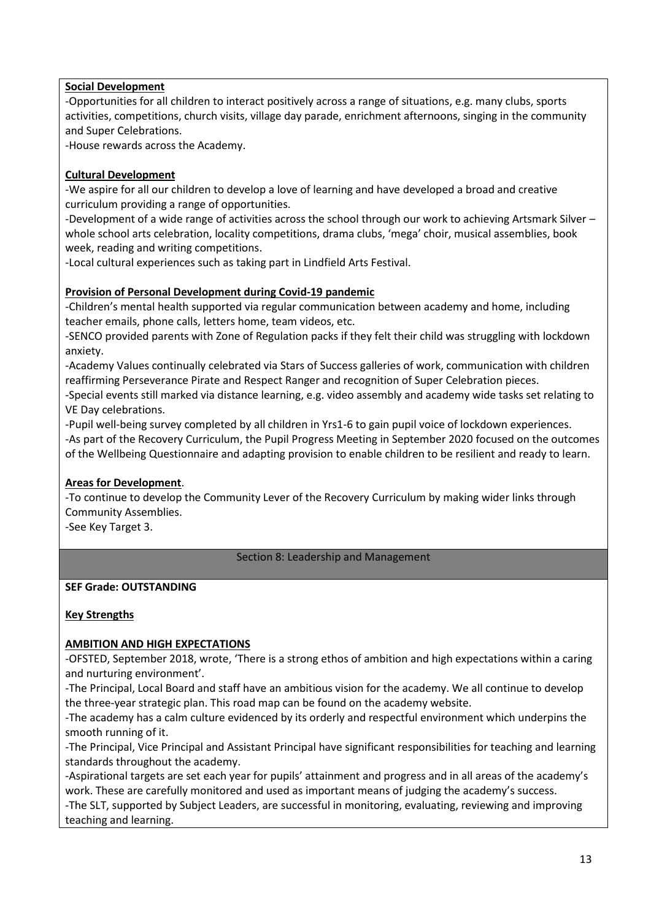# **Social Development**

-Opportunities for all children to interact positively across a range of situations, e.g. many clubs, sports activities, competitions, church visits, village day parade, enrichment afternoons, singing in the community and Super Celebrations.

-House rewards across the Academy.

# **Cultural Development**

-We aspire for all our children to develop a love of learning and have developed a broad and creative curriculum providing a range of opportunities.

-Development of a wide range of activities across the school through our work to achieving Artsmark Silver – whole school arts celebration, locality competitions, drama clubs, 'mega' choir, musical assemblies, book week, reading and writing competitions.

-Local cultural experiences such as taking part in Lindfield Arts Festival.

# **Provision of Personal Development during Covid-19 pandemic**

-Children's mental health supported via regular communication between academy and home, including teacher emails, phone calls, letters home, team videos, etc.

-SENCO provided parents with Zone of Regulation packs if they felt their child was struggling with lockdown anxiety.

-Academy Values continually celebrated via Stars of Success galleries of work, communication with children reaffirming Perseverance Pirate and Respect Ranger and recognition of Super Celebration pieces.

-Special events still marked via distance learning, e.g. video assembly and academy wide tasks set relating to VE Day celebrations.

-Pupil well-being survey completed by all children in Yrs1-6 to gain pupil voice of lockdown experiences. -As part of the Recovery Curriculum, the Pupil Progress Meeting in September 2020 focused on the outcomes of the Wellbeing Questionnaire and adapting provision to enable children to be resilient and ready to learn.

# **Areas for Development**.

-To continue to develop the Community Lever of the Recovery Curriculum by making wider links through Community Assemblies.

-See Key Target 3.

# Section 8: Leadership and Management

# **SEF Grade: OUTSTANDING**

# **Key Strengths**

# **AMBITION AND HIGH EXPECTATIONS**

-OFSTED, September 2018, wrote, 'There is a strong ethos of ambition and high expectations within a caring and nurturing environment'.

-The Principal, Local Board and staff have an ambitious vision for the academy. We all continue to develop the three-year strategic plan. This road map can be found on the academy website.

-The academy has a calm culture evidenced by its orderly and respectful environment which underpins the smooth running of it.

-The Principal, Vice Principal and Assistant Principal have significant responsibilities for teaching and learning standards throughout the academy.

-Aspirational targets are set each year for pupils' attainment and progress and in all areas of the academy's work. These are carefully monitored and used as important means of judging the academy's success.

-The SLT, supported by Subject Leaders, are successful in monitoring, evaluating, reviewing and improving teaching and learning.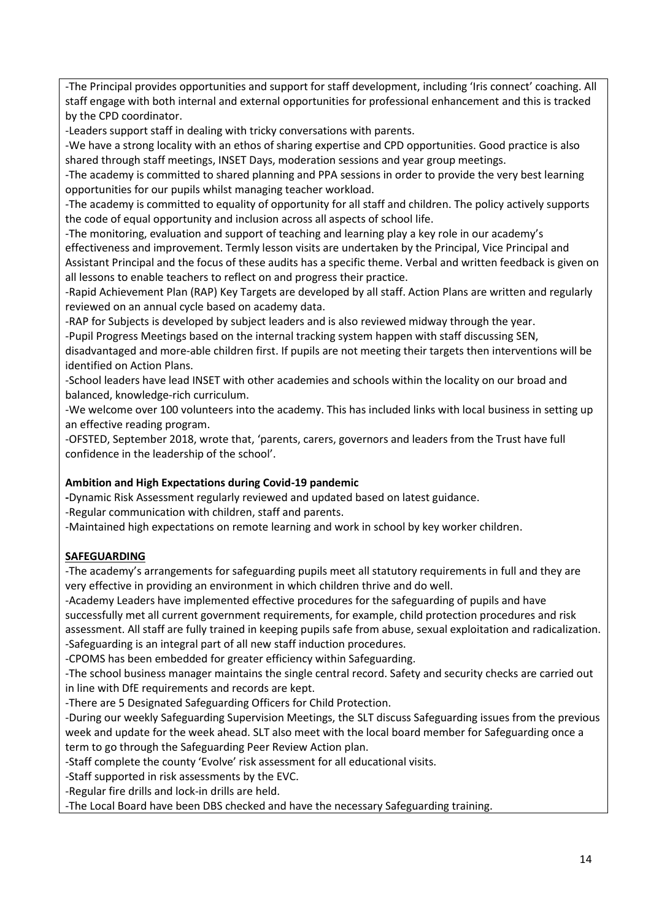-The Principal provides opportunities and support for staff development, including 'Iris connect' coaching. All staff engage with both internal and external opportunities for professional enhancement and this is tracked by the CPD coordinator.

-Leaders support staff in dealing with tricky conversations with parents.

-We have a strong locality with an ethos of sharing expertise and CPD opportunities. Good practice is also shared through staff meetings, INSET Days, moderation sessions and year group meetings.

-The academy is committed to shared planning and PPA sessions in order to provide the very best learning opportunities for our pupils whilst managing teacher workload.

-The academy is committed to equality of opportunity for all staff and children. The policy actively supports the code of equal opportunity and inclusion across all aspects of school life.

-The monitoring, evaluation and support of teaching and learning play a key role in our academy's

effectiveness and improvement. Termly lesson visits are undertaken by the Principal, Vice Principal and Assistant Principal and the focus of these audits has a specific theme. Verbal and written feedback is given on all lessons to enable teachers to reflect on and progress their practice.

-Rapid Achievement Plan (RAP) Key Targets are developed by all staff. Action Plans are written and regularly reviewed on an annual cycle based on academy data.

-RAP for Subjects is developed by subject leaders and is also reviewed midway through the year.

-Pupil Progress Meetings based on the internal tracking system happen with staff discussing SEN,

disadvantaged and more-able children first. If pupils are not meeting their targets then interventions will be identified on Action Plans.

-School leaders have lead INSET with other academies and schools within the locality on our broad and balanced, knowledge-rich curriculum.

-We welcome over 100 volunteers into the academy. This has included links with local business in setting up an effective reading program.

-OFSTED, September 2018, wrote that, 'parents, carers, governors and leaders from the Trust have full confidence in the leadership of the school'.

# **Ambition and High Expectations during Covid-19 pandemic**

**-**Dynamic Risk Assessment regularly reviewed and updated based on latest guidance.

-Regular communication with children, staff and parents.

-Maintained high expectations on remote learning and work in school by key worker children.

# **SAFEGUARDING**

-The academy's arrangements for safeguarding pupils meet all statutory requirements in full and they are very effective in providing an environment in which children thrive and do well.

-Academy Leaders have implemented effective procedures for the safeguarding of pupils and have successfully met all current government requirements, for example, child protection procedures and risk assessment. All staff are fully trained in keeping pupils safe from abuse, sexual exploitation and radicalization. -Safeguarding is an integral part of all new staff induction procedures.

-CPOMS has been embedded for greater efficiency within Safeguarding.

-The school business manager maintains the single central record. Safety and security checks are carried out in line with DfE requirements and records are kept.

-There are 5 Designated Safeguarding Officers for Child Protection.

-During our weekly Safeguarding Supervision Meetings, the SLT discuss Safeguarding issues from the previous week and update for the week ahead. SLT also meet with the local board member for Safeguarding once a term to go through the Safeguarding Peer Review Action plan.

-Staff complete the county 'Evolve' risk assessment for all educational visits.

-Staff supported in risk assessments by the EVC.

-Regular fire drills and lock-in drills are held.

-The Local Board have been DBS checked and have the necessary Safeguarding training.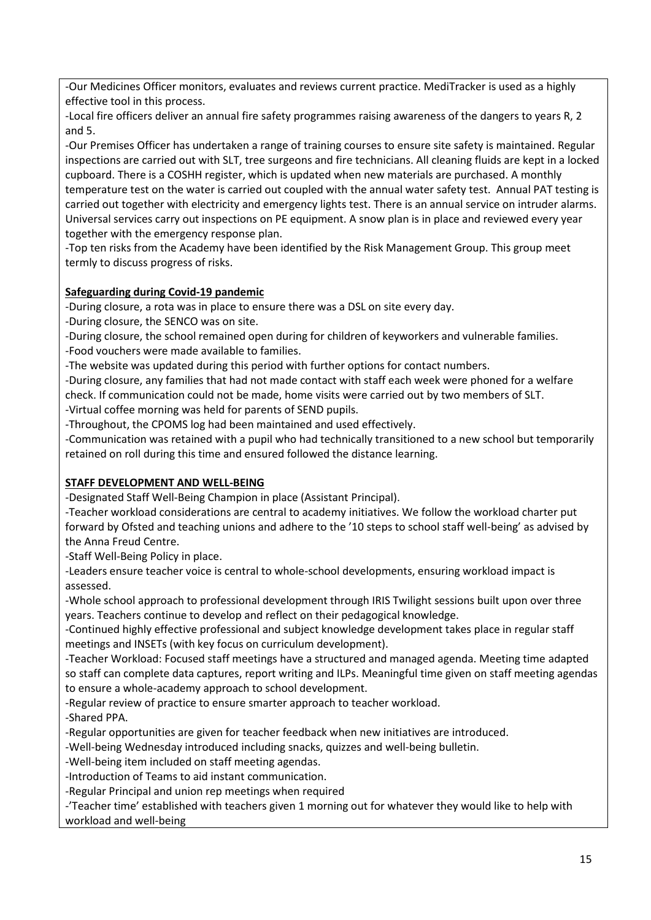-Our Medicines Officer monitors, evaluates and reviews current practice. MediTracker is used as a highly effective tool in this process.

-Local fire officers deliver an annual fire safety programmes raising awareness of the dangers to years R, 2 and 5.

-Our Premises Officer has undertaken a range of training courses to ensure site safety is maintained. Regular inspections are carried out with SLT, tree surgeons and fire technicians. All cleaning fluids are kept in a locked cupboard. There is a COSHH register, which is updated when new materials are purchased. A monthly temperature test on the water is carried out coupled with the annual water safety test. Annual PAT testing is carried out together with electricity and emergency lights test. There is an annual service on intruder alarms. Universal services carry out inspections on PE equipment. A snow plan is in place and reviewed every year together with the emergency response plan.

-Top ten risks from the Academy have been identified by the Risk Management Group. This group meet termly to discuss progress of risks.

# **Safeguarding during Covid-19 pandemic**

-During closure, a rota was in place to ensure there was a DSL on site every day.

-During closure, the SENCO was on site.

-During closure, the school remained open during for children of keyworkers and vulnerable families.

-Food vouchers were made available to families.

-The website was updated during this period with further options for contact numbers.

-During closure, any families that had not made contact with staff each week were phoned for a welfare check. If communication could not be made, home visits were carried out by two members of SLT.

-Virtual coffee morning was held for parents of SEND pupils.

-Throughout, the CPOMS log had been maintained and used effectively.

-Communication was retained with a pupil who had technically transitioned to a new school but temporarily retained on roll during this time and ensured followed the distance learning.

# **STAFF DEVELOPMENT AND WELL-BEING**

-Designated Staff Well-Being Champion in place (Assistant Principal).

-Teacher workload considerations are central to academy initiatives. We follow the workload charter put forward by Ofsted and teaching unions and adhere to the '10 steps to school staff well-being' as advised by the Anna Freud Centre.

-Staff Well-Being Policy in place.

-Leaders ensure teacher voice is central to whole-school developments, ensuring workload impact is assessed.

-Whole school approach to professional development through IRIS Twilight sessions built upon over three years. Teachers continue to develop and reflect on their pedagogical knowledge.

-Continued highly effective professional and subject knowledge development takes place in regular staff meetings and INSETs (with key focus on curriculum development).

-Teacher Workload: Focused staff meetings have a structured and managed agenda. Meeting time adapted so staff can complete data captures, report writing and ILPs. Meaningful time given on staff meeting agendas to ensure a whole-academy approach to school development.

-Regular review of practice to ensure smarter approach to teacher workload.

-Shared PPA.

-Regular opportunities are given for teacher feedback when new initiatives are introduced.

-Well-being Wednesday introduced including snacks, quizzes and well-being bulletin.

-Well-being item included on staff meeting agendas.

-Introduction of Teams to aid instant communication.

-Regular Principal and union rep meetings when required

-'Teacher time' established with teachers given 1 morning out for whatever they would like to help with workload and well-being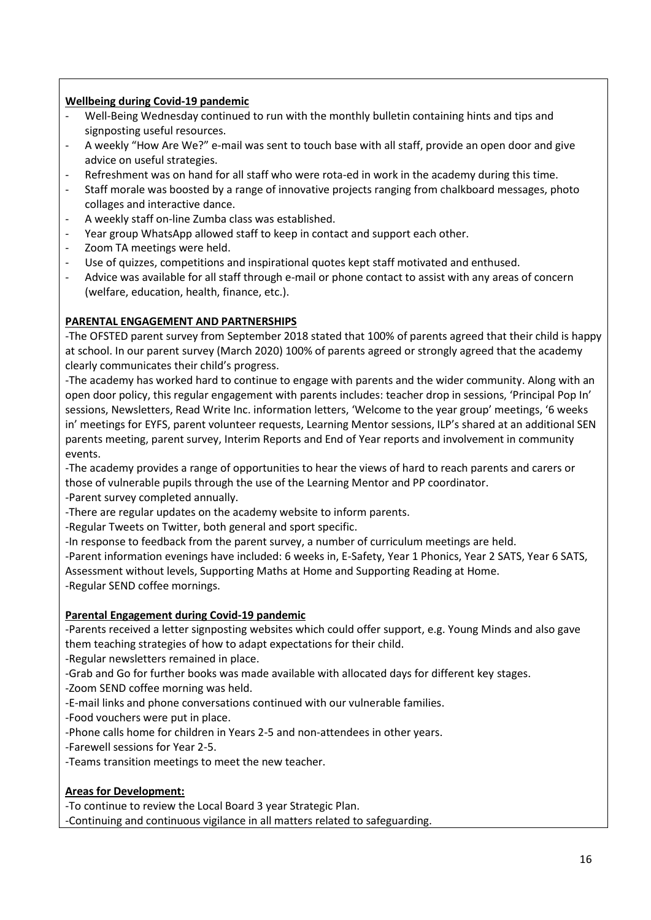# **Wellbeing during Covid-19 pandemic**

- Well-Being Wednesday continued to run with the monthly bulletin containing hints and tips and signposting useful resources.
- A weekly "How Are We?" e-mail was sent to touch base with all staff, provide an open door and give advice on useful strategies.
- Refreshment was on hand for all staff who were rota-ed in work in the academy during this time.
- Staff morale was boosted by a range of innovative projects ranging from chalkboard messages, photo collages and interactive dance.
- A weekly staff on-line Zumba class was established.
- Year group WhatsApp allowed staff to keep in contact and support each other.
- Zoom TA meetings were held.
- Use of quizzes, competitions and inspirational quotes kept staff motivated and enthused.
- Advice was available for all staff through e-mail or phone contact to assist with any areas of concern (welfare, education, health, finance, etc.).

# **PARENTAL ENGAGEMENT AND PARTNERSHIPS**

-The OFSTED parent survey from September 2018 stated that 100% of parents agreed that their child is happy at school. In our parent survey (March 2020) 100% of parents agreed or strongly agreed that the academy clearly communicates their child's progress.

-The academy has worked hard to continue to engage with parents and the wider community. Along with an open door policy, this regular engagement with parents includes: teacher drop in sessions, 'Principal Pop In' sessions, Newsletters, Read Write Inc. information letters, 'Welcome to the year group' meetings, '6 weeks in' meetings for EYFS, parent volunteer requests, Learning Mentor sessions, ILP's shared at an additional SEN parents meeting, parent survey, Interim Reports and End of Year reports and involvement in community events.

-The academy provides a range of opportunities to hear the views of hard to reach parents and carers or those of vulnerable pupils through the use of the Learning Mentor and PP coordinator.

-Parent survey completed annually.

- -There are regular updates on the academy website to inform parents.
- -Regular Tweets on Twitter, both general and sport specific.
- -In response to feedback from the parent survey, a number of curriculum meetings are held.

-Parent information evenings have included: 6 weeks in, E-Safety, Year 1 Phonics, Year 2 SATS, Year 6 SATS, Assessment without levels, Supporting Maths at Home and Supporting Reading at Home.

-Regular SEND coffee mornings.

# **Parental Engagement during Covid-19 pandemic**

-Parents received a letter signposting websites which could offer support, e.g. Young Minds and also gave them teaching strategies of how to adapt expectations for their child.

- -Regular newsletters remained in place.
- -Grab and Go for further books was made available with allocated days for different key stages.
- -Zoom SEND coffee morning was held.
- -E-mail links and phone conversations continued with our vulnerable families.
- -Food vouchers were put in place.
- -Phone calls home for children in Years 2-5 and non-attendees in other years.
- -Farewell sessions for Year 2-5.
- -Teams transition meetings to meet the new teacher.

# **Areas for Development:**

-To continue to review the Local Board 3 year Strategic Plan. -Continuing and continuous vigilance in all matters related to safeguarding.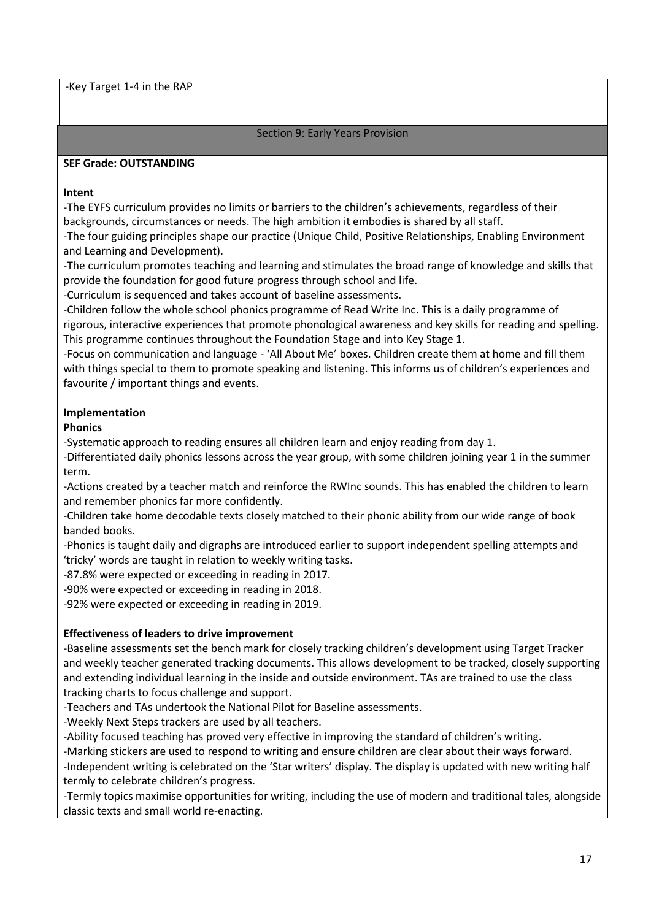-Key Target 1-4 in the RAP

#### Section 9: Early Years Provision

#### **SEF Grade: OUTSTANDING**

#### **Intent**

-The EYFS curriculum provides no limits or barriers to the children's achievements, regardless of their backgrounds, circumstances or needs. The high ambition it embodies is shared by all staff.

-The four guiding principles shape our practice (Unique Child, Positive Relationships, Enabling Environment and Learning and Development).

-The curriculum promotes teaching and learning and stimulates the broad range of knowledge and skills that provide the foundation for good future progress through school and life.

-Curriculum is sequenced and takes account of baseline assessments.

-Children follow the whole school phonics programme of Read Write Inc. This is a daily programme of rigorous, interactive experiences that promote phonological awareness and key skills for reading and spelling. This programme continues throughout the Foundation Stage and into Key Stage 1.

-Focus on communication and language - 'All About Me' boxes. Children create them at home and fill them with things special to them to promote speaking and listening. This informs us of children's experiences and favourite / important things and events.

# **Implementation**

# **Phonics**

-Systematic approach to reading ensures all children learn and enjoy reading from day 1.

-Differentiated daily phonics lessons across the year group, with some children joining year 1 in the summer term.

-Actions created by a teacher match and reinforce the RWInc sounds. This has enabled the children to learn and remember phonics far more confidently.

-Children take home decodable texts closely matched to their phonic ability from our wide range of book banded books.

-Phonics is taught daily and digraphs are introduced earlier to support independent spelling attempts and 'tricky' words are taught in relation to weekly writing tasks.

-87.8% were expected or exceeding in reading in 2017.

-90% were expected or exceeding in reading in 2018.

-92% were expected or exceeding in reading in 2019.

# **Effectiveness of leaders to drive improvement**

-Baseline assessments set the bench mark for closely tracking children's development using Target Tracker and weekly teacher generated tracking documents. This allows development to be tracked, closely supporting and extending individual learning in the inside and outside environment. TAs are trained to use the class tracking charts to focus challenge and support.

-Teachers and TAs undertook the National Pilot for Baseline assessments.

-Weekly Next Steps trackers are used by all teachers.

-Ability focused teaching has proved very effective in improving the standard of children's writing.

-Marking stickers are used to respond to writing and ensure children are clear about their ways forward. -Independent writing is celebrated on the 'Star writers' display. The display is updated with new writing half termly to celebrate children's progress.

-Termly topics maximise opportunities for writing, including the use of modern and traditional tales, alongside classic texts and small world re-enacting.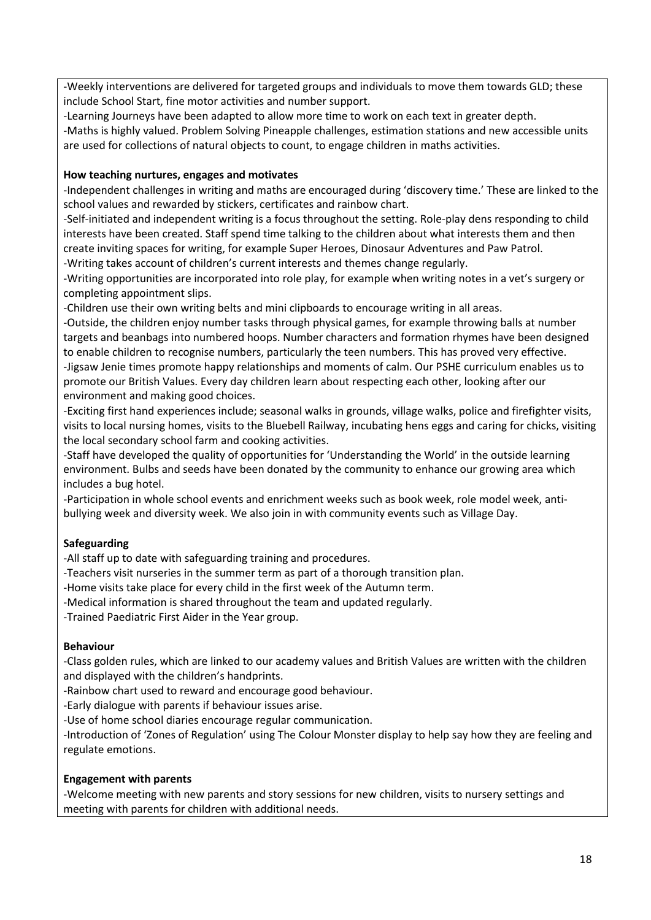-Weekly interventions are delivered for targeted groups and individuals to move them towards GLD; these include School Start, fine motor activities and number support.

-Learning Journeys have been adapted to allow more time to work on each text in greater depth.

-Maths is highly valued. Problem Solving Pineapple challenges, estimation stations and new accessible units are used for collections of natural objects to count, to engage children in maths activities.

# **How teaching nurtures, engages and motivates**

-Independent challenges in writing and maths are encouraged during 'discovery time.' These are linked to the school values and rewarded by stickers, certificates and rainbow chart.

-Self-initiated and independent writing is a focus throughout the setting. Role-play dens responding to child interests have been created. Staff spend time talking to the children about what interests them and then create inviting spaces for writing, for example Super Heroes, Dinosaur Adventures and Paw Patrol. -Writing takes account of children's current interests and themes change regularly.

-Writing opportunities are incorporated into role play, for example when writing notes in a vet's surgery or completing appointment slips.

-Children use their own writing belts and mini clipboards to encourage writing in all areas.

-Outside, the children enjoy number tasks through physical games, for example throwing balls at number targets and beanbags into numbered hoops. Number characters and formation rhymes have been designed to enable children to recognise numbers, particularly the teen numbers. This has proved very effective. -Jigsaw Jenie times promote happy relationships and moments of calm. Our PSHE curriculum enables us to promote our British Values. Every day children learn about respecting each other, looking after our environment and making good choices.

-Exciting first hand experiences include; seasonal walks in grounds, village walks, police and firefighter visits, visits to local nursing homes, visits to the Bluebell Railway, incubating hens eggs and caring for chicks, visiting the local secondary school farm and cooking activities.

-Staff have developed the quality of opportunities for 'Understanding the World' in the outside learning environment. Bulbs and seeds have been donated by the community to enhance our growing area which includes a bug hotel.

-Participation in whole school events and enrichment weeks such as book week, role model week, antibullying week and diversity week. We also join in with community events such as Village Day.

# **Safeguarding**

-All staff up to date with safeguarding training and procedures.

-Teachers visit nurseries in the summer term as part of a thorough transition plan.

-Home visits take place for every child in the first week of the Autumn term.

-Medical information is shared throughout the team and updated regularly.

-Trained Paediatric First Aider in the Year group.

# **Behaviour**

-Class golden rules, which are linked to our academy values and British Values are written with the children and displayed with the children's handprints.

-Rainbow chart used to reward and encourage good behaviour.

-Early dialogue with parents if behaviour issues arise.

-Use of home school diaries encourage regular communication.

-Introduction of 'Zones of Regulation' using The Colour Monster display to help say how they are feeling and regulate emotions.

# **Engagement with parents**

-Welcome meeting with new parents and story sessions for new children, visits to nursery settings and meeting with parents for children with additional needs.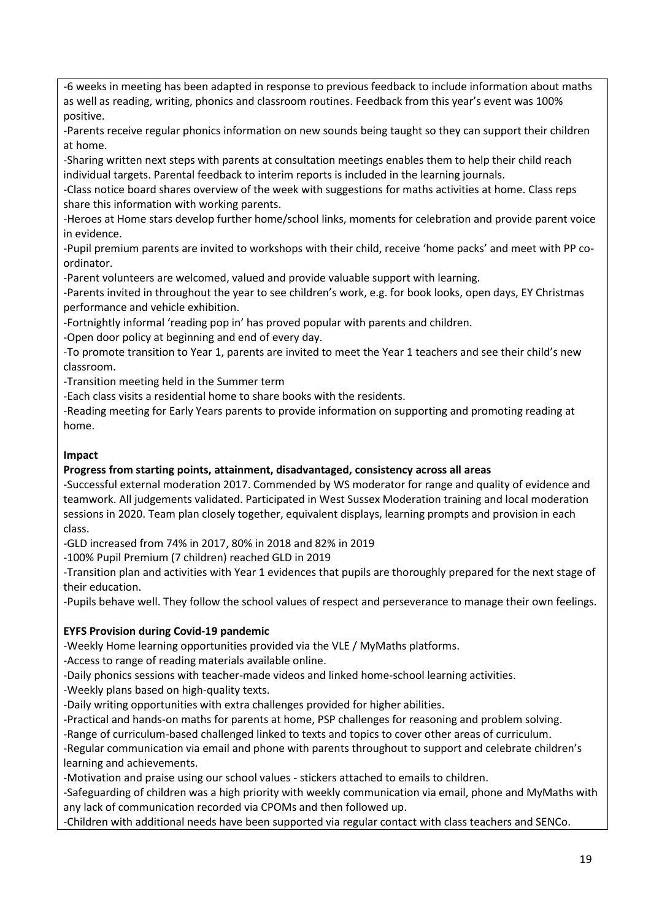-6 weeks in meeting has been adapted in response to previous feedback to include information about maths as well as reading, writing, phonics and classroom routines. Feedback from this year's event was 100% positive.

-Parents receive regular phonics information on new sounds being taught so they can support their children at home.

-Sharing written next steps with parents at consultation meetings enables them to help their child reach individual targets. Parental feedback to interim reports is included in the learning journals.

-Class notice board shares overview of the week with suggestions for maths activities at home. Class reps share this information with working parents.

-Heroes at Home stars develop further home/school links, moments for celebration and provide parent voice in evidence.

-Pupil premium parents are invited to workshops with their child, receive 'home packs' and meet with PP coordinator.

-Parent volunteers are welcomed, valued and provide valuable support with learning.

-Parents invited in throughout the year to see children's work, e.g. for book looks, open days, EY Christmas performance and vehicle exhibition.

-Fortnightly informal 'reading pop in' has proved popular with parents and children.

-Open door policy at beginning and end of every day.

-To promote transition to Year 1, parents are invited to meet the Year 1 teachers and see their child's new classroom.

-Transition meeting held in the Summer term

-Each class visits a residential home to share books with the residents.

-Reading meeting for Early Years parents to provide information on supporting and promoting reading at home.

# **Impact**

# **Progress from starting points, attainment, disadvantaged, consistency across all areas**

-Successful external moderation 2017. Commended by WS moderator for range and quality of evidence and teamwork. All judgements validated. Participated in West Sussex Moderation training and local moderation sessions in 2020. Team plan closely together, equivalent displays, learning prompts and provision in each class.

-GLD increased from 74% in 2017, 80% in 2018 and 82% in 2019

-100% Pupil Premium (7 children) reached GLD in 2019

-Transition plan and activities with Year 1 evidences that pupils are thoroughly prepared for the next stage of their education.

-Pupils behave well. They follow the school values of respect and perseverance to manage their own feelings.

# **EYFS Provision during Covid-19 pandemic**

-Weekly Home learning opportunities provided via the VLE / MyMaths platforms.

-Access to range of reading materials available online.

-Daily phonics sessions with teacher-made videos and linked home-school learning activities.

-Weekly plans based on high-quality texts.

-Daily writing opportunities with extra challenges provided for higher abilities.

-Practical and hands-on maths for parents at home, PSP challenges for reasoning and problem solving.

-Range of curriculum-based challenged linked to texts and topics to cover other areas of curriculum.

-Regular communication via email and phone with parents throughout to support and celebrate children's learning and achievements.

-Motivation and praise using our school values - stickers attached to emails to children.

-Safeguarding of children was a high priority with weekly communication via email, phone and MyMaths with any lack of communication recorded via CPOMs and then followed up.

-Children with additional needs have been supported via regular contact with class teachers and SENCo.